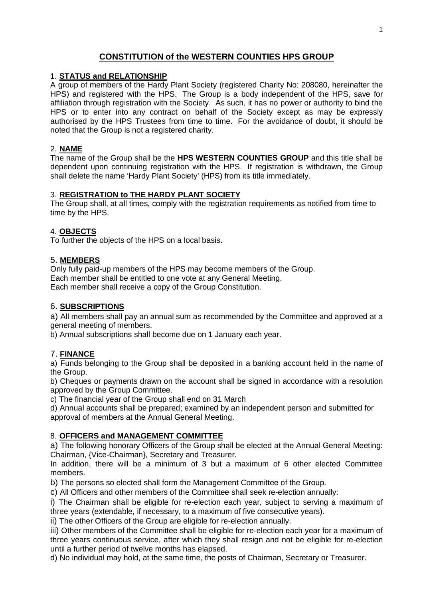# **CONSTITUTION of the WESTERN COUNTIES HPS GROUP**

## 1. **STATUS and RELATIONSHIP**

A group of members of the Hardy Plant Society (registered Charity No: 208080, hereinafter the HPS) and registered with the HPS. The Group is a body independent of the HPS, save for affiliation through registration with the Society. As such, it has no power or authority to bind the HPS or to enter into any contract on behalf of the Society except as may be expressly authorised by the HPS Trustees from time to time. For the avoidance of doubt, it should be noted that the Group is not a registered charity.

### 2. **NAME**

The name of the Group shall be the **HPS WESTERN COUNTIES GROUP** and this title shall be dependent upon continuing registration with the HPS. If registration is withdrawn, the Group shall delete the name 'Hardy Plant Society' (HPS) from its title immediately.

## 3. **REGISTRATION to THE HARDY PLANT SOCIETY**

The Group shall, at all times, comply with the registration requirements as notified from time to time by the HPS.

## 4. **OBJECTS**

To further the objects of the HPS on a local basis.

## 5. **MEMBERS**

Only fully paid-up members of the HPS may become members of the Group. Each member shall be entitled to one vote at any General Meeting. Each member shall receive a copy of the Group Constitution.

#### 6. **SUBSCRIPTIONS**

a) All members shall pay an annual sum as recommended by the Committee and approved at a general meeting of members.

b) Annual subscriptions shall become due on 1 January each year.

#### 7. **FINANCE**

a) Funds belonging to the Group shall be deposited in a banking account held in the name of the Group.

b) Cheques or payments drawn on the account shall be signed in accordance with a resolution approved by the Group Committee.

c) The financial year of the Group shall end on 31 March

d) Annual accounts shall be prepared; examined by an independent person and submitted for approval of members at the Annual General Meeting.

#### 8. **OFFICERS and MANAGEMENT COMMITTEE**

a) The following honorary Officers of the Group shall be elected at the Annual General Meeting: Chairman, {Vice-Chairman}, Secretary and Treasurer.

In addition, there will be a minimum of 3 but a maximum of 6 other elected Committee members.

b) The persons so elected shall form the Management Committee of the Group.

c) All Officers and other members of the Committee shall seek re-election annually:

i) The Chairman shall be eligible for re-election each year, subject to serving a maximum of three years (extendable, if necessary, to a maximum of five consecutive years).

ii) The other Officers of the Group are eligible for re-election annually.

iii) Other members of the Committee shall be eligible for re-election each year for a maximum of three years continuous service, after which they shall resign and not be eligible for re-election until a further period of twelve months has elapsed.

d) No individual may hold, at the same time, the posts of Chairman, Secretary or Treasurer.